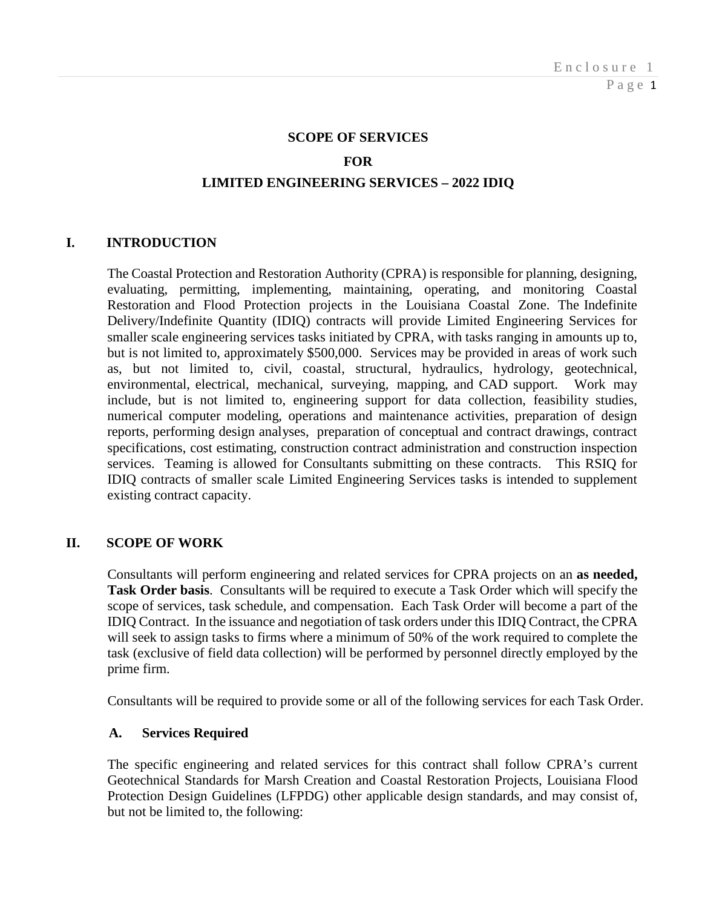#### **SCOPE OF SERVICES**

#### **FOR**

#### **LIMITED ENGINEERING SERVICES – 2022 IDIQ**

## **I. INTRODUCTION**

The Coastal Protection and Restoration Authority (CPRA) is responsible for planning, designing, evaluating, permitting, implementing, maintaining, operating, and monitoring Coastal Restoration and Flood Protection projects in the Louisiana Coastal Zone. The Indefinite Delivery/Indefinite Quantity (IDIQ) contracts will provide Limited Engineering Services for smaller scale engineering services tasks initiated by CPRA, with tasks ranging in amounts up to, but is not limited to, approximately \$500,000. Services may be provided in areas of work such as, but not limited to, civil, coastal, structural, hydraulics, hydrology, geotechnical, environmental, electrical, mechanical, surveying, mapping, and CAD support. Work may include, but is not limited to, engineering support for data collection, feasibility studies, numerical computer modeling, operations and maintenance activities, preparation of design reports, performing design analyses, preparation of conceptual and contract drawings, contract specifications, cost estimating, construction contract administration and construction inspection services. Teaming is allowed for Consultants submitting on these contracts. This RSIQ for IDIQ contracts of smaller scale Limited Engineering Services tasks is intended to supplement existing contract capacity.

## **II. SCOPE OF WORK**

Consultants will perform engineering and related services for CPRA projects on an **as needed, Task Order basis**. Consultants will be required to execute a Task Order which will specify the scope of services, task schedule, and compensation. Each Task Order will become a part of the IDIQ Contract. In the issuance and negotiation of task orders under this IDIQ Contract, the CPRA will seek to assign tasks to firms where a minimum of 50% of the work required to complete the task (exclusive of field data collection) will be performed by personnel directly employed by the prime firm.

Consultants will be required to provide some or all of the following services for each Task Order.

#### **A. Services Required**

The specific engineering and related services for this contract shall follow CPRA's current Geotechnical Standards for Marsh Creation and Coastal Restoration Projects, Louisiana Flood Protection Design Guidelines (LFPDG) other applicable design standards, and may consist of, but not be limited to, the following: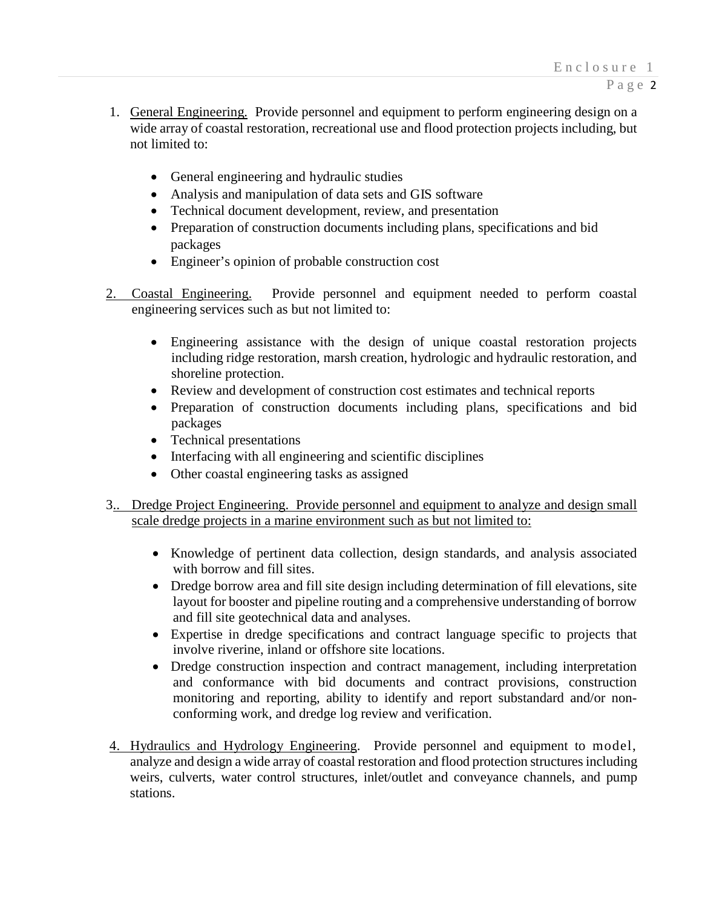- 1. General Engineering. Provide personnel and equipment to perform engineering design on a wide array of coastal restoration, recreational use and flood protection projects including, but not limited to:
	- General engineering and hydraulic studies
	- Analysis and manipulation of data sets and GIS software
	- Technical document development, review, and presentation
	- Preparation of construction documents including plans, specifications and bid packages
	- Engineer's opinion of probable construction cost
- 2. Coastal Engineering. Provide personnel and equipment needed to perform coastal engineering services such as but not limited to:
	- Engineering assistance with the design of unique coastal restoration projects including ridge restoration, marsh creation, hydrologic and hydraulic restoration, and shoreline protection.
	- Review and development of construction cost estimates and technical reports
	- Preparation of construction documents including plans, specifications and bid packages
	- Technical presentations
	- Interfacing with all engineering and scientific disciplines
	- Other coastal engineering tasks as assigned
- 3.. Dredge Project Engineering. Provide personnel and equipment to analyze and design small scale dredge projects in a marine environment such as but not limited to:
	- Knowledge of pertinent data collection, design standards, and analysis associated with borrow and fill sites.
	- Dredge borrow area and fill site design including determination of fill elevations, site layout for booster and pipeline routing and a comprehensive understanding of borrow and fill site geotechnical data and analyses.
	- Expertise in dredge specifications and contract language specific to projects that involve riverine, inland or offshore site locations.
	- Dredge construction inspection and contract management, including interpretation and conformance with bid documents and contract provisions, construction monitoring and reporting, ability to identify and report substandard and/or nonconforming work, and dredge log review and verification.
- 4. Hydraulics and Hydrology Engineering. Provide personnel and equipment to model, analyze and design a wide array of coastal restoration and flood protection structures including weirs, culverts, water control structures, inlet/outlet and conveyance channels, and pump stations.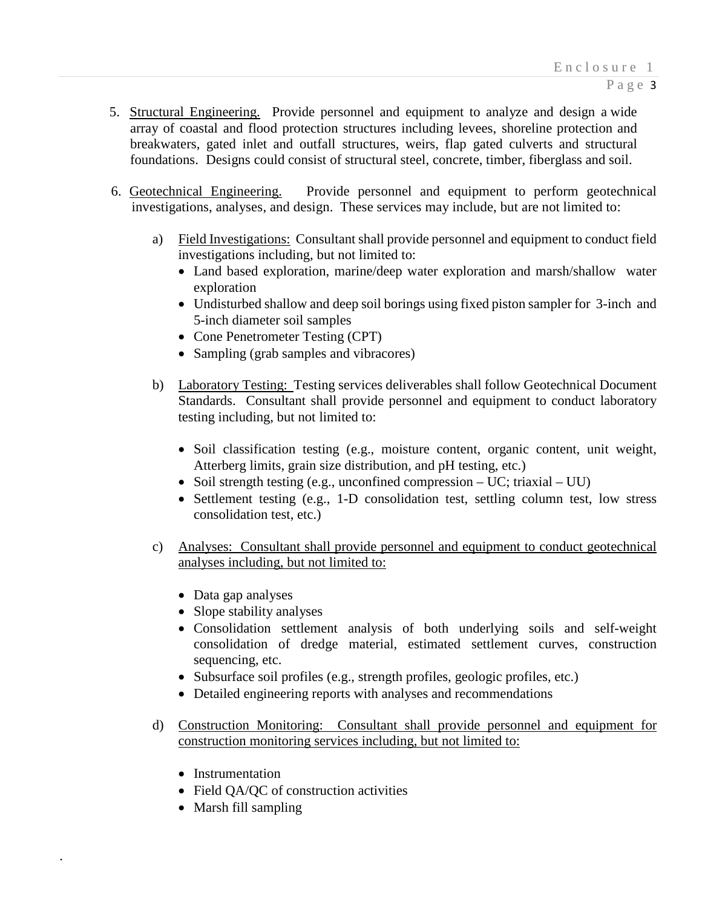- 5. Structural Engineering. Provide personnel and equipment to analyze and design a wide array of coastal and flood protection structures including levees, shoreline protection and breakwaters, gated inlet and outfall structures, weirs, flap gated culverts and structural foundations. Designs could consist of structural steel, concrete, timber, fiberglass and soil.
- 6. Geotechnical Engineering. Provide personnel and equipment to perform geotechnical investigations, analyses, and design. These services may include, but are not limited to:
	- a) Field Investigations: Consultant shall provide personnel and equipment to conduct field investigations including, but not limited to:
		- Land based exploration, marine/deep water exploration and marsh/shallow water exploration
		- Undisturbed shallow and deep soil borings using fixed piston sampler for 3-inch and 5-inch diameter soil samples
		- Cone Penetrometer Testing (CPT)
		- Sampling (grab samples and vibracores)
	- b) Laboratory Testing: Testing services deliverables shall follow Geotechnical Document Standards. Consultant shall provide personnel and equipment to conduct laboratory testing including, but not limited to:
		- Soil classification testing (e.g., moisture content, organic content, unit weight, Atterberg limits, grain size distribution, and pH testing, etc.)
		- Soil strength testing (e.g., unconfined compression UC; triaxial UU)
		- Settlement testing (e.g., 1-D consolidation test, settling column test, low stress consolidation test, etc.)
	- c) Analyses: Consultant shall provide personnel and equipment to conduct geotechnical analyses including, but not limited to:
		- Data gap analyses
		- Slope stability analyses
		- Consolidation settlement analysis of both underlying soils and self-weight consolidation of dredge material, estimated settlement curves, construction sequencing, etc.
		- Subsurface soil profiles (e.g., strength profiles, geologic profiles, etc.)
		- Detailed engineering reports with analyses and recommendations
	- d) Construction Monitoring: Consultant shall provide personnel and equipment for construction monitoring services including, but not limited to:
		- Instrumentation

.

- Field QA/QC of construction activities
- Marsh fill sampling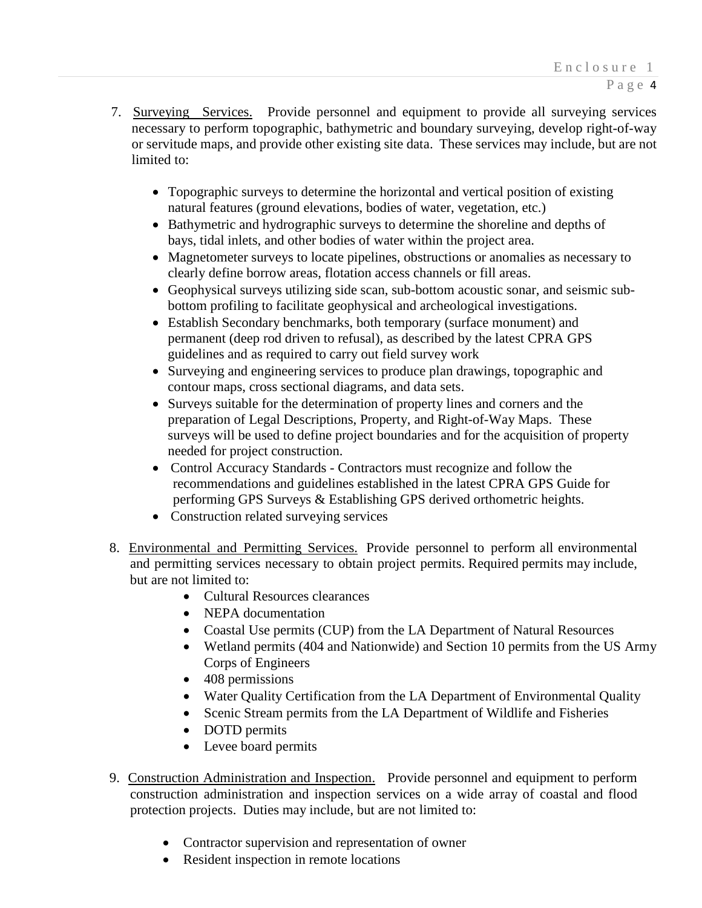- 7. Surveying Services. Provide personnel and equipment to provide all surveying services necessary to perform topographic, bathymetric and boundary surveying, develop right-of-way or servitude maps, and provide other existing site data. These services may include, but are not limited to:
	- Topographic surveys to determine the horizontal and vertical position of existing natural features (ground elevations, bodies of water, vegetation, etc.)
	- Bathymetric and hydrographic surveys to determine the shoreline and depths of bays, tidal inlets, and other bodies of water within the project area.
	- Magnetometer surveys to locate pipelines, obstructions or anomalies as necessary to clearly define borrow areas, flotation access channels or fill areas.
	- Geophysical surveys utilizing side scan, sub-bottom acoustic sonar, and seismic subbottom profiling to facilitate geophysical and archeological investigations.
	- Establish Secondary benchmarks, both temporary (surface monument) and permanent (deep rod driven to refusal), as described by the latest CPRA GPS guidelines and as required to carry out field survey work
	- Surveying and engineering services to produce plan drawings, topographic and contour maps, cross sectional diagrams, and data sets.
	- Surveys suitable for the determination of property lines and corners and the preparation of Legal Descriptions, Property, and Right-of-Way Maps. These surveys will be used to define project boundaries and for the acquisition of property needed for project construction.
	- Control Accuracy Standards Contractors must recognize and follow the recommendations and guidelines established in the latest CPRA GPS Guide for performing GPS Surveys & Establishing GPS derived orthometric heights.
	- Construction related surveying services
- 8. Environmental and Permitting Services. Provide personnel to perform all environmental and permitting services necessary to obtain project permits. Required permits may include, but are not limited to:
	- Cultural Resources clearances
	- NEPA documentation
	- Coastal Use permits (CUP) from the LA Department of Natural Resources
	- Wetland permits (404 and Nationwide) and Section 10 permits from the US Army Corps of Engineers
	- 408 permissions
	- Water Quality Certification from the LA Department of Environmental Quality
	- Scenic Stream permits from the LA Department of Wildlife and Fisheries
	- DOTD permits
	- Levee board permits
- 9. Construction Administration and Inspection. Provide personnel and equipment to perform construction administration and inspection services on a wide array of coastal and flood protection projects. Duties may include, but are not limited to:
	- Contractor supervision and representation of owner
	- Resident inspection in remote locations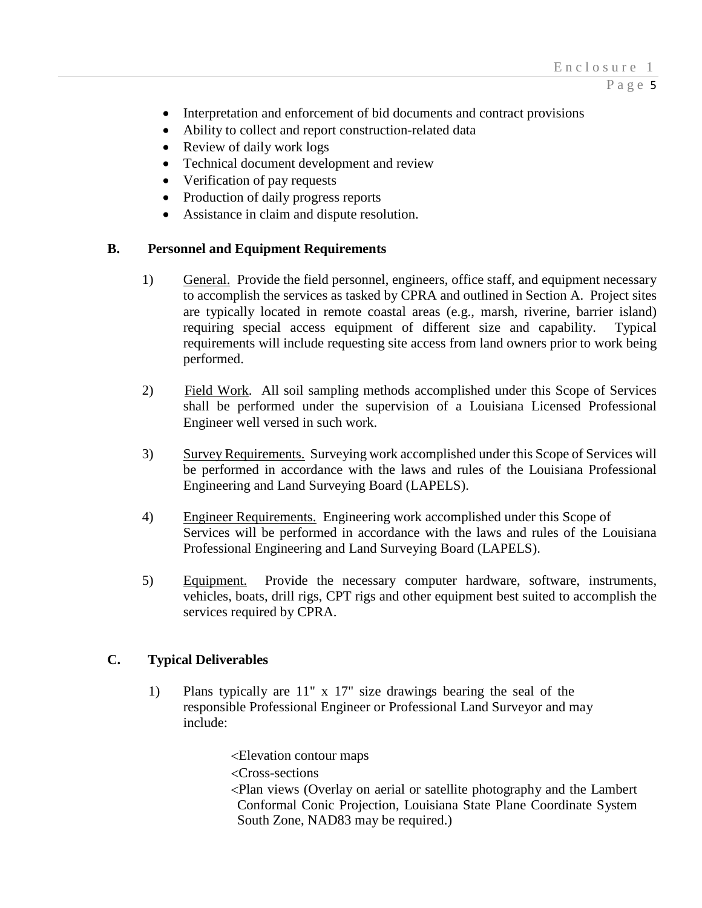Page 5

- Interpretation and enforcement of bid documents and contract provisions
- Ability to collect and report construction-related data
- Review of daily work logs
- Technical document development and review
- Verification of pay requests
- Production of daily progress reports
- Assistance in claim and dispute resolution.

# **B. Personnel and Equipment Requirements**

- 1) General. Provide the field personnel, engineers, office staff, and equipment necessary to accomplish the services as tasked by CPRA and outlined in Section A. Project sites are typically located in remote coastal areas (e.g., marsh, riverine, barrier island) requiring special access equipment of different size and capability. Typical requirements will include requesting site access from land owners prior to work being performed.
- 2) Field Work. All soil sampling methods accomplished under this Scope of Services shall be performed under the supervision of a Louisiana Licensed Professional Engineer well versed in such work.
- 3) Survey Requirements. Surveying work accomplished under this Scope of Services will be performed in accordance with the laws and rules of the Louisiana Professional Engineering and Land Surveying Board (LAPELS).
- 4) Engineer Requirements. Engineering work accomplished under this Scope of Services will be performed in accordance with the laws and rules of the Louisiana Professional Engineering and Land Surveying Board (LAPELS).
- 5) Equipment. Provide the necessary computer hardware, software, instruments, vehicles, boats, drill rigs, CPT rigs and other equipment best suited to accomplish the services required by CPRA.

## **C. Typical Deliverables**

1) Plans typically are 11" x 17" size drawings bearing the seal of the responsible Professional Engineer or Professional Land Surveyor and may include:

> <Elevation contour maps <Cross-sections <Plan views (Overlay on aerial or satellite photography and the Lambert Conformal Conic Projection, Louisiana State Plane Coordinate System South Zone, NAD83 may be required.)